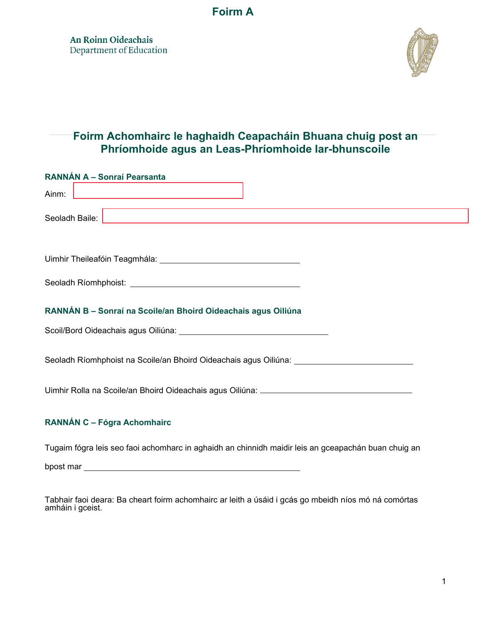**Foirm A**

An Roinn Oideachais Department of Education



# **Foirm Achomhairc le haghaidh Ceapacháin Bhuana chuig post an Phríomhoide agus an Leas-Phríomhoide Iar-bhunscoile**

| RANNÁN A - Sonraí Pearsanta                                                                                    |  |  |  |
|----------------------------------------------------------------------------------------------------------------|--|--|--|
| Ainm:<br><u> 1989 - Johann Barn, mars eta bainar eta idazlea (</u>                                             |  |  |  |
| Seoladh Baile:<br><u> 1989 - Johann Barn, fransk politik (d. 1989)</u>                                         |  |  |  |
|                                                                                                                |  |  |  |
|                                                                                                                |  |  |  |
| RANNÁN B - Sonraí na Scoile/an Bhoird Oideachais agus Oiliúna                                                  |  |  |  |
| Scoil/Bord Oideachais agus Oiliúna: University of the Coil and Coil and Coil and Coil and Coil and Coil and Co |  |  |  |
| Seoladh Ríomhphoist na Scoile/an Bhoird Oideachais agus Oiliúna: _______________                               |  |  |  |
| Uimhir Rolla na Scoile/an Bhoird Oideachais agus Oiliúna: _______________________                              |  |  |  |
| RANNÁN C - Fógra Achomhairc                                                                                    |  |  |  |

Tugaim fógra leis seo faoi achomharc in aghaidh an chinnidh maidir leis an gceapachán buan chuig an

bpost mar substantial control of the state of the state of the state of the state of the state of the state of the state of the state of the state of the state of the state of the state of the state of the state of the sta

Tabhair faoi deara: Ba cheart foirm achomhairc ar leith a úsáid i gcás go mbeidh níos mó ná comórtas amháin i gceist.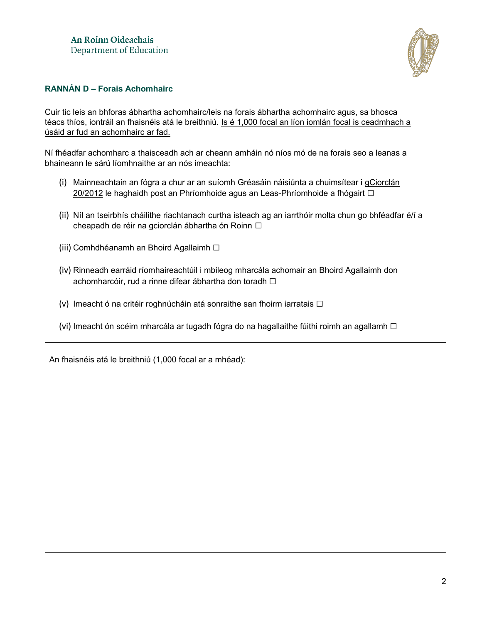

## **RANNÁN D – Forais Achomhairc**

Cuir tic leis an bhforas ábhartha achomhairc/leis na forais ábhartha achomhairc agus, sa bhosca téacs thíos, iontráil an fhaisnéis atá le breithniú. Is é 1,000 focal an líon iomlán focal is ceadmhach a úsáid ar fud an achomhairc ar fad.

Ní fhéadfar achomharc a thaisceadh ach ar cheann amháin nó níos mó de na forais seo a leanas a bhaineann le sárú líomhnaithe ar an nós imeachta:

- (i) Mainneachtain an fógra a chur ar an suíomh Gréasáin náisiúnta a chuimsítear i [gCiorclán](https://assets.gov.ie/13565/50ea73a7c7504e4e8007ea17b4fb52b4.pdf) [20/2012](https://assets.gov.ie/13565/50ea73a7c7504e4e8007ea17b4fb52b4.pdf) le haghaidh post an Phríomhoide agus an Leas-Phríomhoide a fhógairt □
- (ii) Níl an tseirbhís cháilithe riachtanach curtha isteach ag an iarrthóir molta chun go bhféadfar é/í a cheapadh de réir na gciorclán ábhartha ón Roinn □
- (iii) Comhdhéanamh an Bhoird Agallaimh □
- (iv) Rinneadh earráid ríomhaireachtúil i mbileog mharcála achomair an Bhoird Agallaimh don achomharcóir, rud a rinne difear ábhartha don toradh □
- (v) Imeacht ó na critéir roghnúcháin atá sonraithe san fhoirm iarratais  $\Box$
- (vi) Imeacht ón scéim mharcála ar tugadh fógra do na hagallaithe fúithi roimh an agallamh  $\Box$

An fhaisnéis atá le breithniú (1,000 focal ar a mhéad):